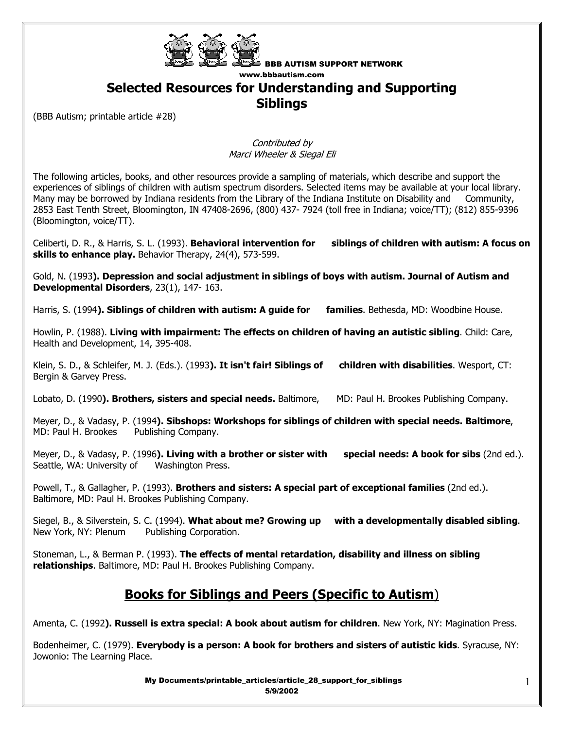

#### **Selected Resources for Understanding and Supporting Siblings**

(BBB Autism; printable article #28)

Contributed by Marci Wheeler & Siegal Eli

The following articles, books, and other resources provide a sampling of materials, which describe and support the experiences of siblings of children with autism spectrum disorders. Selected items may be available at your local library. Many may be borrowed by Indiana residents from the Library of the Indiana Institute on Disability and Community, 2853 East Tenth Street, Bloomington, IN 47408-2696, (800) 437- 7924 (toll free in Indiana; voice/TT); (812) 855-9396 (Bloomington, voice/TT).

Celiberti, D. R., & Harris, S. L. (1993). **Behavioral intervention for siblings of children with autism: A focus on skills to enhance play.** Behavior Therapy, 24(4), 573-599.

Gold, N. (1993**). Depression and social adjustment in siblings of boys with autism. Journal of Autism and Developmental Disorders**, 23(1), 147- 163.

Harris, S. (1994**). Siblings of children with autism: A guide for families**. Bethesda, MD: Woodbine House.

Howlin, P. (1988). **Living with impairment: The effects on children of having an autistic sibling**. Child: Care, Health and Development, 14, 395-408.

Klein, S. D., & Schleifer, M. J. (Eds.). (1993**). It isn't fair! Siblings of children with disabilities**. Wesport, CT: Bergin & Garvey Press.

Lobato, D. (1990**). Brothers, sisters and special needs.** Baltimore, MD: Paul H. Brookes Publishing Company.

Meyer, D., & Vadasy, P. (1994**). Sibshops: Workshops for siblings of children with special needs. Baltimore**, MD: Paul H. Brookes Publishing Company.

Meyer, D., & Vadasy, P. (1996**). Living with a brother or sister with special needs: A book for sibs** (2nd ed.). Seattle, WA: University of Washington Press.

Powell, T., & Gallagher, P. (1993). **Brothers and sisters: A special part of exceptional families** (2nd ed.). Baltimore, MD: Paul H. Brookes Publishing Company.

Siegel, B., & Silverstein, S. C. (1994). **What about me? Growing up with a developmentally disabled sibling**. New York, NY: Plenum Publishing Corporation.

Stoneman, L., & Berman P. (1993). **The effects of mental retardation, disability and illness on sibling relationships**. Baltimore, MD: Paul H. Brookes Publishing Company.

## **Books for Siblings and Peers (Specific to Autism**)

Amenta, C. (1992**). Russell is extra special: A book about autism for children**. New York, NY: Magination Press.

Bodenheimer, C. (1979). **Everybody is a person: A book for brothers and sisters of autistic kids**. Syracuse, NY: Jowonio: The Learning Place.

> My Documents/printable\_articles/article\_28\_support\_for\_siblings 5/9/2002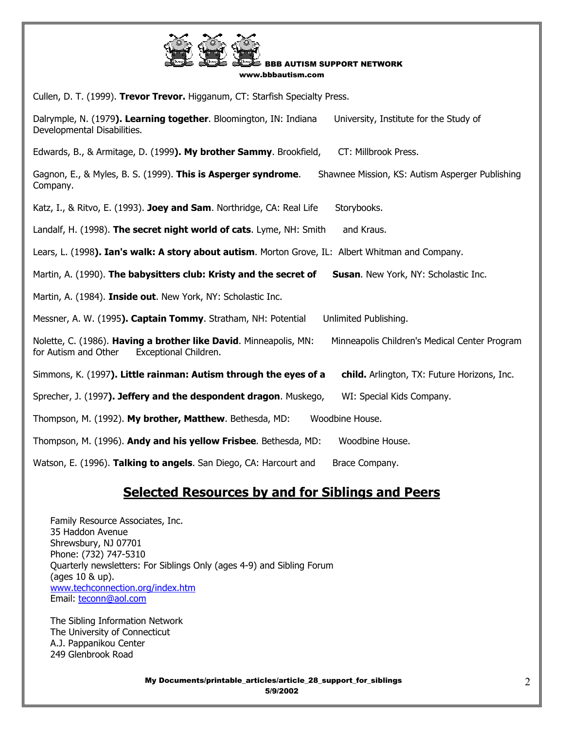

Cullen, D. T. (1999). **Trevor Trevor.** Higganum, CT: Starfish Specialty Press.

Dalrymple, N. (1979**). Learning together**. Bloomington, IN: Indiana University, Institute for the Study of Developmental Disabilities.

Edwards, B., & Armitage, D. (1999**). My brother Sammy**. Brookfield, CT: Millbrook Press.

Gagnon, E., & Myles, B. S. (1999). **This is Asperger syndrome**. Shawnee Mission, KS: Autism Asperger Publishing Company.

Katz, I., & Ritvo, E. (1993). Joey and Sam. Northridge, CA: Real Life Storybooks.

Landalf, H. (1998). **The secret night world of cats**. Lyme, NH: Smith and Kraus.

Lears, L. (1998**). Ian's walk: A story about autism**. Morton Grove, IL: Albert Whitman and Company.

Martin, A. (1990). **The babysitters club: Kristy and the secret of Susan**. New York, NY: Scholastic Inc.

Martin, A. (1984). **Inside out**. New York, NY: Scholastic Inc.

Messner, A. W. (1995**). Captain Tommy**. Stratham, NH: Potential Unlimited Publishing.

Nolette, C. (1986). **Having a brother like David**. Minneapolis, MN: Minneapolis Children's Medical Center Program for Autism and Other Exceptional Children.

Simmons, K. (1997**). Little rainman: Autism through the eyes of a child.** Arlington, TX: Future Horizons, Inc.

Sprecher, J. (1997**). Jeffery and the despondent dragon**. Muskego, WI: Special Kids Company.

Thompson, M. (1992). **My brother, Matthew**. Bethesda, MD: Woodbine House.

Thompson, M. (1996). **Andy and his yellow Frisbee**. Bethesda, MD: Woodbine House.

Watson, E. (1996). **Talking to angels**. San Diego, CA: Harcourt and Brace Company.

# **Selected Resources by and for Siblings and Peers**

 Family Resource Associates, Inc. 35 Haddon Avenue Shrewsbury, NJ 07701 Phone: (732) 747-5310 Quarterly newsletters: For Siblings Only (ages 4-9) and Sibling Forum (ages 10 & up). www.techconnection.org/index.htm Email: teconn@aol.com

 The Sibling Information Network The University of Connecticut A.J. Pappanikou Center 249 Glenbrook Road

> My Documents/printable\_articles/article\_28\_support\_for\_siblings 5/9/2002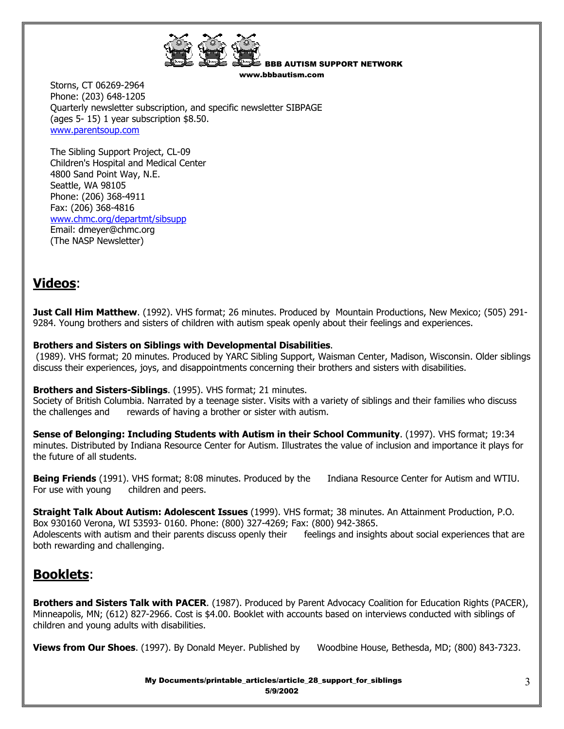

 Storns, CT 06269-2964 Phone: (203) 648-1205 Quarterly newsletter subscription, and specific newsletter SIBPAGE (ages 5- 15) 1 year subscription \$8.50. www.parentsoup.com

 The Sibling Support Project, CL-09 Children's Hospital and Medical Center 4800 Sand Point Way, N.E. Seattle, WA 98105 Phone: (206) 368-4911 Fax: (206) 368-4816 www.chmc.org/departmt/sibsupp Email: dmeyer@chmc.org (The NASP Newsletter)

## **Videos**:

**Just Call Him Matthew**. (1992). VHS format; 26 minutes. Produced by Mountain Productions, New Mexico; (505) 291- 9284. Young brothers and sisters of children with autism speak openly about their feelings and experiences.

#### **Brothers and Sisters on Siblings with Developmental Disabilities**.

 (1989). VHS format; 20 minutes. Produced by YARC Sibling Support, Waisman Center, Madison, Wisconsin. Older siblings discuss their experiences, joys, and disappointments concerning their brothers and sisters with disabilities.

#### **Brothers and Sisters-Siblings**. (1995). VHS format; 21 minutes.

Society of British Columbia. Narrated by a teenage sister. Visits with a variety of siblings and their families who discuss the challenges and rewards of having a brother or sister with autism.

**Sense of Belonging: Including Students with Autism in their School Community**. (1997). VHS format; 19:34 minutes. Distributed by Indiana Resource Center for Autism. Illustrates the value of inclusion and importance it plays for the future of all students.

**Being Friends** (1991). VHS format; 8:08 minutes. Produced by the Indiana Resource Center for Autism and WTIU. For use with young children and peers.

**Straight Talk About Autism: Adolescent Issues** (1999). VHS format; 38 minutes. An Attainment Production, P.O. Box 930160 Verona, WI 53593- 0160. Phone: (800) 327-4269; Fax: (800) 942-3865. Adolescents with autism and their parents discuss openly their feelings and insights about social experiences that are both rewarding and challenging.

## **Booklets**:

**Brothers and Sisters Talk with PACER**. (1987). Produced by Parent Advocacy Coalition for Education Rights (PACER), Minneapolis, MN; (612) 827-2966. Cost is \$4.00. Booklet with accounts based on interviews conducted with siblings of children and young adults with disabilities.

**Views from Our Shoes**. (1997). By Donald Meyer. Published by Woodbine House, Bethesda, MD; (800) 843-7323.

My Documents/printable\_articles/article\_28\_support\_for\_siblings 5/9/2002